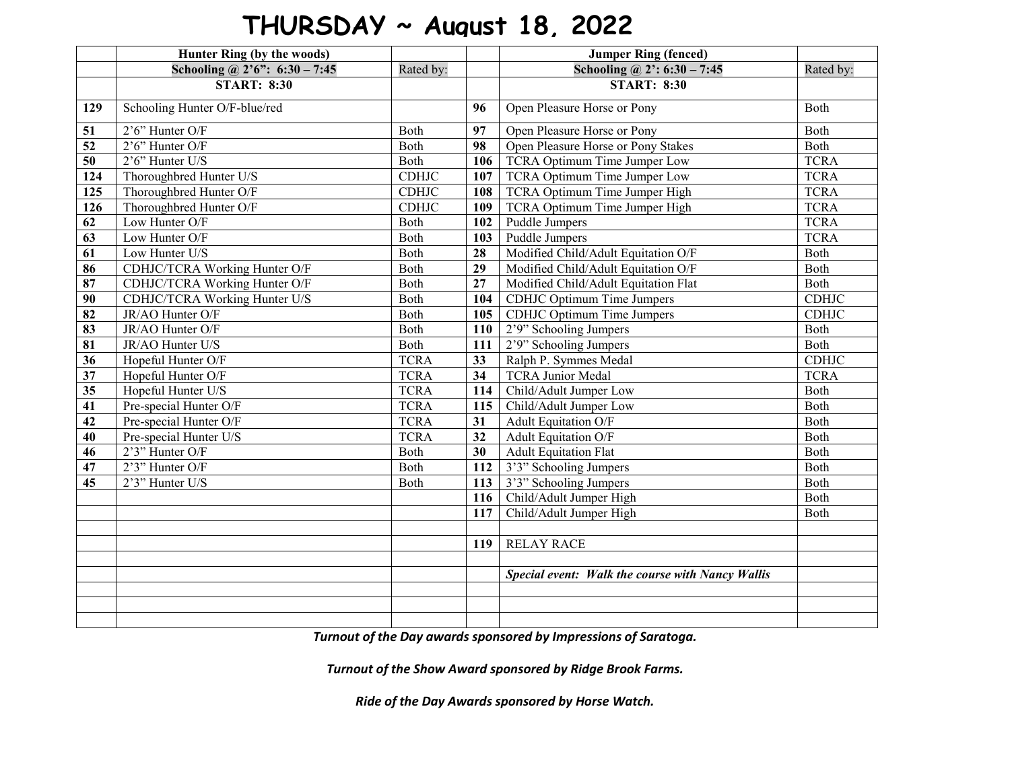## **THURSDAY ~ August 18, 2022**

|                            | Hunter Ring (by the woods)              |              |                 | <b>Jumper Ring (fenced)</b>                      |              |
|----------------------------|-----------------------------------------|--------------|-----------------|--------------------------------------------------|--------------|
|                            | Schooling @ $2^{\circ}6$ ": 6:30 - 7:45 | Rated by:    |                 | Schooling @ $2': 6:30 - 7:45$                    | Rated by:    |
|                            | <b>START: 8:30</b>                      |              |                 | <b>START: 8:30</b>                               |              |
| 129                        | Schooling Hunter O/F-blue/red           |              | 96              | Open Pleasure Horse or Pony                      | Both         |
| 51                         | 2'6" Hunter O/F                         | Both         | 97              | Open Pleasure Horse or Pony                      | Both         |
| 52                         | $2'6'$ Hunter O/F                       | Both         | 98              | Open Pleasure Horse or Pony Stakes               | Both         |
| 50                         | $2'6''$ Hunter U/S                      | Both         | 106             | <b>TCRA Optimum Time Jumper Low</b>              | <b>TCRA</b>  |
| 124                        | Thoroughbred Hunter U/S                 | <b>CDHJC</b> | 107             | TCRA Optimum Time Jumper Low                     | <b>TCRA</b>  |
| 125                        | Thoroughbred Hunter O/F                 | <b>CDHJC</b> | 108             | TCRA Optimum Time Jumper High                    | <b>TCRA</b>  |
| 126                        | Thoroughbred Hunter O/F                 | <b>CDHJC</b> | 109             | TCRA Optimum Time Jumper High                    | <b>TCRA</b>  |
| 62                         | Low Hunter O/F                          | Both         | 102             | Puddle Jumpers                                   | <b>TCRA</b>  |
| 63                         | Low Hunter O/F                          | Both         | 103             | Puddle Jumpers                                   | <b>TCRA</b>  |
| 61                         | Low Hunter U/S                          | Both         | 28              | Modified Child/Adult Equitation O/F              | Both         |
| 86                         | CDHJC/TCRA Working Hunter O/F           | Both         | 29              | Modified Child/Adult Equitation O/F              | Both         |
| $\overline{\overline{87}}$ | CDHJC/TCRA Working Hunter O/F           | Both         | 27              | Modified Child/Adult Equitation Flat             | Both         |
| 90                         | CDHJC/TCRA Working Hunter U/S           | Both         | 104             | CDHJC Optimum Time Jumpers                       | <b>CDHJC</b> |
| 82                         | JR/AO Hunter O/F                        | Both         | 105             | <b>CDHJC Optimum Time Jumpers</b>                | <b>CDHJC</b> |
| 83                         | JR/AO Hunter O/F                        | Both         | 110             | 2'9" Schooling Jumpers                           | Both         |
| 81                         | JR/AO Hunter U/S                        | Both         | 111             | 2'9" Schooling Jumpers                           | Both         |
| $\overline{36}$            | Hopeful Hunter O/F                      | <b>TCRA</b>  | 33              | Ralph P. Symmes Medal                            | <b>CDHJC</b> |
| 37                         | Hopeful Hunter O/F                      | <b>TCRA</b>  | $\overline{34}$ | <b>TCRA Junior Medal</b>                         | <b>TCRA</b>  |
| 35                         | Hopeful Hunter U/S                      | <b>TCRA</b>  | 114             | Child/Adult Jumper Low                           | Both         |
| 41                         | Pre-special Hunter O/F                  | <b>TCRA</b>  | 115             | Child/Adult Jumper Low                           | Both         |
| 42                         | Pre-special Hunter O/F                  | <b>TCRA</b>  | 31              | Adult Equitation O/F                             | Both         |
| 40                         | Pre-special Hunter U/S                  | <b>TCRA</b>  | 32              | Adult Equitation O/F                             | Both         |
| 46                         | 2'3" Hunter O/F                         | Both         | $\overline{30}$ | <b>Adult Equitation Flat</b>                     | Both         |
| 47                         | $2'3''$ Hunter O/F                      | Both         | 112             | 3'3" Schooling Jumpers                           | Both         |
| 45                         | 2'3" Hunter U/S                         | Both         | 113             | 3'3" Schooling Jumpers                           | Both         |
|                            |                                         |              | 116             | Child/Adult Jumper High                          | Both         |
|                            |                                         |              | 117             | Child/Adult Jumper High                          | Both         |
|                            |                                         |              |                 |                                                  |              |
|                            |                                         |              | 119             | <b>RELAY RACE</b>                                |              |
|                            |                                         |              |                 |                                                  |              |
|                            |                                         |              |                 | Special event: Walk the course with Nancy Wallis |              |
|                            |                                         |              |                 |                                                  |              |
|                            |                                         |              |                 |                                                  |              |
|                            |                                         |              |                 |                                                  |              |

*Turnout of the Day awards sponsored by Impressions of Saratoga.*

*Turnout of the Show Award sponsored by Ridge Brook Farms.*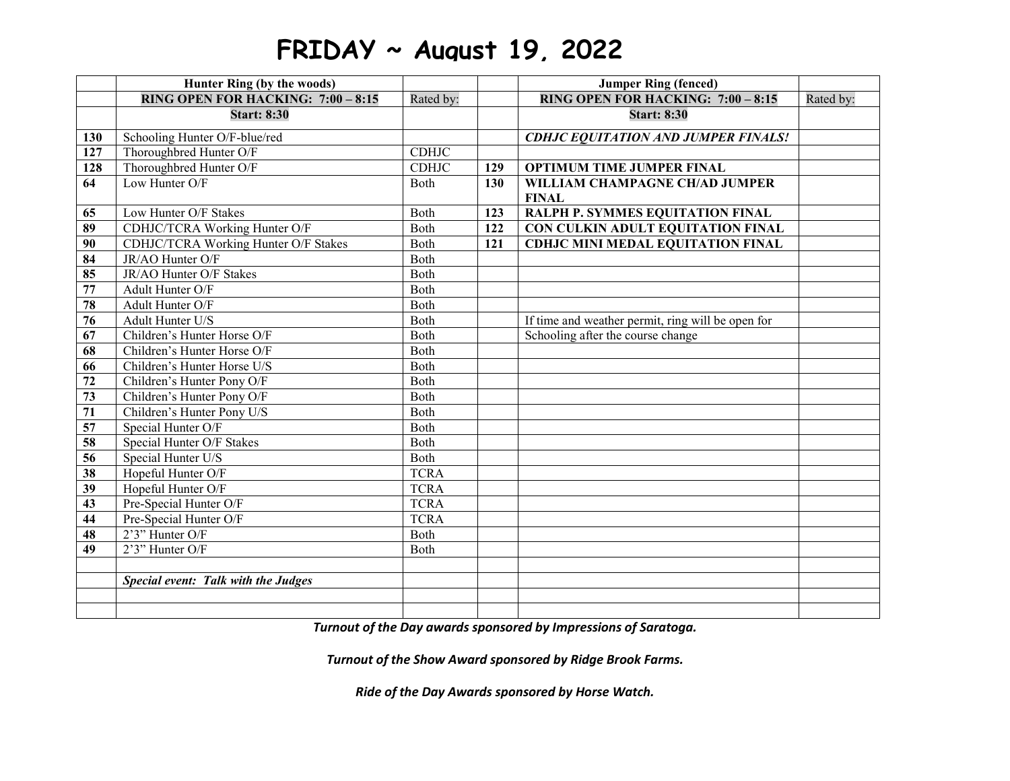## **FRIDAY ~ August 19, 2022**

|                  | Hunter Ring (by the woods)           |              |     | <b>Jumper Ring (fenced)</b>                       |           |
|------------------|--------------------------------------|--------------|-----|---------------------------------------------------|-----------|
|                  | RING OPEN FOR HACKING: $7:00 - 8:15$ | Rated by:    |     | RING OPEN FOR HACKING: 7:00 - 8:15                | Rated by: |
|                  | <b>Start: 8:30</b>                   |              |     | <b>Start: 8:30</b>                                |           |
| 130              | Schooling Hunter O/F-blue/red        |              |     | <b>CDHJC EQUITATION AND JUMPER FINALS!</b>        |           |
| $\overline{127}$ | Thoroughbred Hunter O/F              | <b>CDHJC</b> |     |                                                   |           |
| 128              | Thoroughbred Hunter O/F              | <b>CDHJC</b> | 129 | <b>OPTIMUM TIME JUMPER FINAL</b>                  |           |
| 64               | Low Hunter O/F                       | Both         | 130 | WILLIAM CHAMPAGNE CH/AD JUMPER                    |           |
|                  |                                      |              |     | <b>FINAL</b>                                      |           |
| 65               | Low Hunter O/F Stakes                | Both         | 123 | RALPH P. SYMMES EQUITATION FINAL                  |           |
| 89               | CDHJC/TCRA Working Hunter O/F        | Both         | 122 | CON CULKIN ADULT EQUITATION FINAL                 |           |
| 90               | CDHJC/TCRA Working Hunter O/F Stakes | Both         | 121 | <b>CDHJC MINI MEDAL EQUITATION FINAL</b>          |           |
| 84               | JR/AO Hunter O/F                     | Both         |     |                                                   |           |
| 85               | JR/AO Hunter O/F Stakes              | Both         |     |                                                   |           |
| $\overline{77}$  | Adult Hunter O/F                     | Both         |     |                                                   |           |
| 78               | Adult Hunter O/F                     | Both         |     |                                                   |           |
| 76               | Adult Hunter U/S                     | Both         |     | If time and weather permit, ring will be open for |           |
| 67               | Children's Hunter Horse O/F          | Both         |     | Schooling after the course change                 |           |
| 68               | Children's Hunter Horse O/F          | Both         |     |                                                   |           |
| 66               | Children's Hunter Horse U/S          | Both         |     |                                                   |           |
| 72               | Children's Hunter Pony O/F           | Both         |     |                                                   |           |
| 73               | Children's Hunter Pony O/F           | Both         |     |                                                   |           |
| 71               | Children's Hunter Pony U/S           | Both         |     |                                                   |           |
| 57               | Special Hunter O/F                   | Both         |     |                                                   |           |
| 58               | Special Hunter O/F Stakes            | Both         |     |                                                   |           |
| 56               | Special Hunter U/S                   | Both         |     |                                                   |           |
| 38               | Hopeful Hunter O/F                   | <b>TCRA</b>  |     |                                                   |           |
| 39               | Hopeful Hunter O/F                   | <b>TCRA</b>  |     |                                                   |           |
| 43               | Pre-Special Hunter O/F               | <b>TCRA</b>  |     |                                                   |           |
| 44               | Pre-Special Hunter O/F               | <b>TCRA</b>  |     |                                                   |           |
| 48               | 2'3" Hunter O/F                      | Both         |     |                                                   |           |
| 49               | 2'3" Hunter O/F                      | Both         |     |                                                   |           |
|                  |                                      |              |     |                                                   |           |
|                  | Special event: Talk with the Judges  |              |     |                                                   |           |
|                  |                                      |              |     |                                                   |           |
|                  |                                      |              |     |                                                   |           |

*Turnout of the Day awards sponsored by Impressions of Saratoga.*

*Turnout of the Show Award sponsored by Ridge Brook Farms.*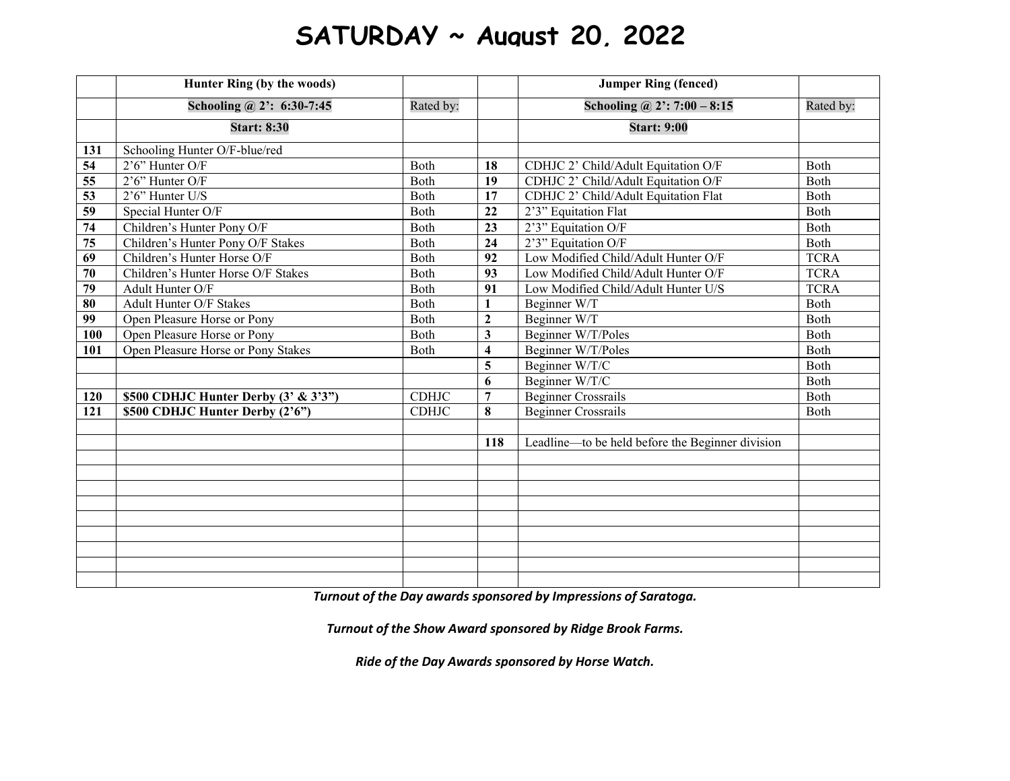## **SATURDAY ~ August 20, 2022**

|                 | Hunter Ring (by the woods)               |              |                         | <b>Jumper Ring (fenced)</b>                      |              |
|-----------------|------------------------------------------|--------------|-------------------------|--------------------------------------------------|--------------|
|                 | Schooling @ 2': $6:30-7:45$              | Rated by:    |                         | Schooling @ $2$ : 7:00 - 8:15                    | Rated by:    |
|                 | <b>Start: 8:30</b>                       |              |                         | <b>Start: 9:00</b>                               |              |
| 131             | Schooling Hunter O/F-blue/red            |              |                         |                                                  |              |
| 54              | $2'6''$ Hunter O/F                       | Both         | 18                      | CDHJC 2' Child/Adult Equitation O/F              | Both         |
| 55              | $2'6''$ Hunter O/F                       | Both         | 19                      | CDHJC 2' Child/Adult Equitation O/F              | Both         |
| 53              | 2'6" Hunter U/S                          | Both         | 17                      | CDHJC 2' Child/Adult Equitation Flat             | Both         |
| $\overline{59}$ | Special Hunter O/F                       | Both         | 22                      | 2'3" Equitation Flat                             | Both         |
| 74              | Children's Hunter Pony O/F               | Both         | 23                      | 2'3" Equitation O/F                              | Both         |
| 75              | Children's Hunter Pony O/F Stakes        | Both         | 24                      | 2'3" Equitation O/F                              | Both         |
| 69              | Children's Hunter Horse O/F              | Both         | 92                      | Low Modified Child/Adult Hunter O/F              | <b>TCRA</b>  |
| 70              | Children's Hunter Horse O/F Stakes       | Both         | 93                      | Low Modified Child/Adult Hunter O/F              | <b>TCRA</b>  |
| 79              | Adult Hunter O/F                         | Both         | 91                      | Low Modified Child/Adult Hunter U/S              | <b>TCRA</b>  |
| 80              | Adult Hunter O/F Stakes                  | Both         | $\mathbf{1}$            | Beginner W/T                                     | Both         |
| 99              | Open Pleasure Horse or Pony              | Both         | $\overline{2}$          | Beginner W/T                                     | Both         |
| 100             | Open Pleasure Horse or Pony              | <b>B</b> oth | $\mathbf{3}$            | Beginner W/T/Poles                               | <b>B</b> oth |
| 101             | Open Pleasure Horse or Pony Stakes       | Both         | $\overline{\mathbf{4}}$ | Beginner W/T/Poles                               | Both         |
|                 |                                          |              | 5                       | Beginner W/T/C                                   | Both         |
|                 |                                          |              | 6                       | Beginner W/T/C                                   | Both         |
| 120             | \$500 CDHJC Hunter Derby $(3' \& 3'3'')$ | <b>CDHJC</b> | $\overline{7}$          | <b>Beginner Crossrails</b>                       | Both         |
| 121             | \$500 CDHJC Hunter Derby (2'6")          | <b>CDHJC</b> | 8                       | <b>Beginner Crossrails</b>                       | Both         |
|                 |                                          |              |                         |                                                  |              |
|                 |                                          |              | 118                     | Leadline—to be held before the Beginner division |              |
|                 |                                          |              |                         |                                                  |              |
|                 |                                          |              |                         |                                                  |              |
|                 |                                          |              |                         |                                                  |              |
|                 |                                          |              |                         |                                                  |              |
|                 |                                          |              |                         |                                                  |              |
|                 |                                          |              |                         |                                                  |              |
|                 |                                          |              |                         |                                                  |              |
|                 |                                          |              |                         |                                                  |              |
|                 |                                          |              |                         |                                                  |              |

*Turnout of the Day awards sponsored by Impressions of Saratoga.*

*Turnout of the Show Award sponsored by Ridge Brook Farms.*